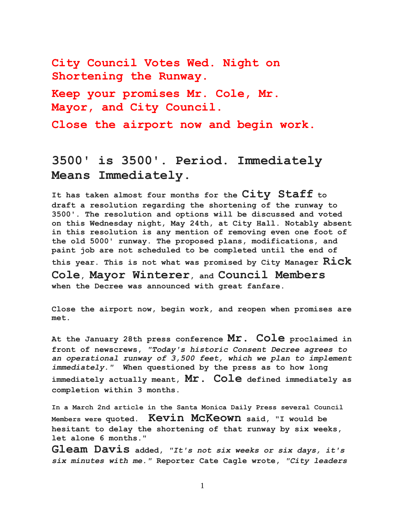**City Council Votes Wed. Night on Shortening the Runway. Keep your promises Mr. Cole, Mr.** 

**Mayor, and City Council.**

**Close the airport now and begin work.**

## **3500' is 3500'. Period. Immediately Means Immediately.**

**It has taken almost four months for the City Staff to draft a resolution regarding the shortening of the runway to 3500'. The resolution and options will be discussed and voted on this Wednesday night, May 24th, at City Hall. Notably absent in this resolution is any mention of removing even one foot of the old 5000' runway. The proposed plans, modifications, and paint job are not scheduled to be completed until the end of this year. This is not what was promised by City Manager Rick Cole, Mayor Winterer, and Council Members when the Decree was announced with great fanfare.**

**Close the airport now, begin work, and reopen when promises are met.**

**At the January 28th press conference Mr. Cole proclaimed in front of newscrews,** *"Today's historic Consent Decree agrees to an operational runway of 3,500 feet, which we plan to implement immediately."* **When questioned by the press as to how long immediately actually meant, Mr. Cole defined immediately as completion within 3 months.**

**In a March 2nd article in the Santa Monica Daily Press several Council Members were quoted. Kevin McKeown said, "I would be hesitant to delay the shortening of that runway by six weeks, let alone 6 months."**

**Gleam Davis added,** *"It's not six weeks or six days, it's six minutes with me."* **Reporter Cate Cagle wrote,** *"City leaders*